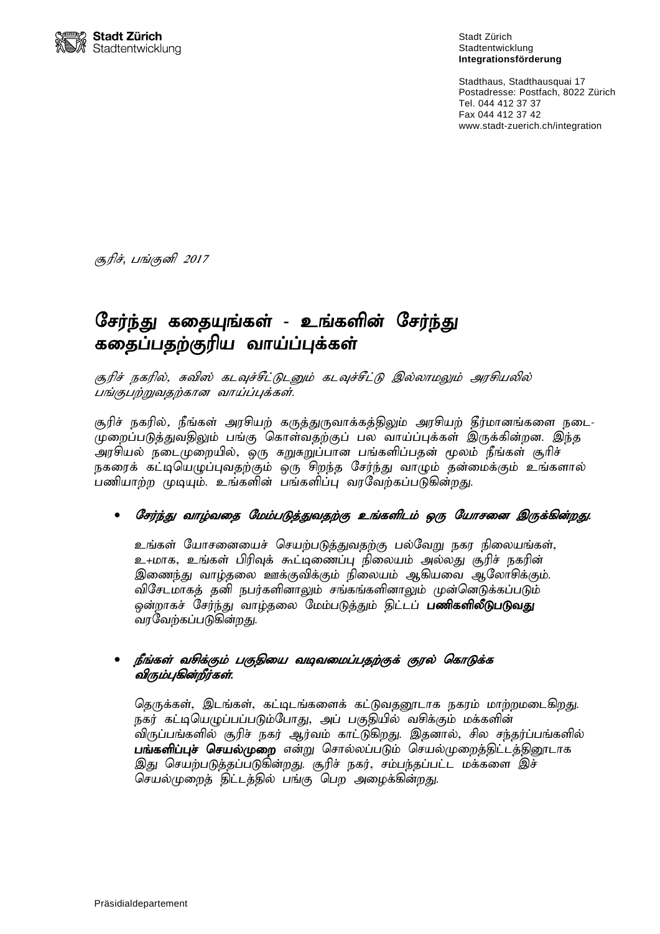

Stadt Zürich Stadtentwicklung **Integrationsförderung**

Stadthaus, Stadthausquai 17 Postadresse: Postfach, 8022 Zürich Tel. 044 412 37 37 Fax 044 412 37 42 www.stadt-zuerich.ch/integration

சூரிச், பங்குனி *2017* ن<br>ا

# சேர்ந்து கதையுங்கள் - உங்களின் சேர்ந்து கதைப்பதற்குரிய வாய்ப்புக்கள்

சூரிச் நகரில், சுவிஸ் கடவுச்சீட்டுடனும் கடவுச்சீட்டு இல்லாமலும் அரசியலில் பங்குபற்றுவதற்கான வாய்ப்புக்கள்.

சூரிச் நகரில்*,* நீங்கள் அரசியற் கருத்துருவாக்கத்திலும் அரசியற் தீர்மானங்களை நடை-முறைப்படுத்துவதிலும் பங்கு கொள்வதற்குப் பல வாய்ப்புக்கள் இருக்கின்றன. இந்த அரசியல் நடைமுறையில், ஒரு சுறுசுறுப்பான பங்களிப்பதன் மூலம் நீங்கள் சூரிச் நகரைக் கட்டியெழுப்புவதற்கும் ஒரு சிறந்த சேர்ந்து வாழும் தன்மைக்கும் உங்களால் பணியாற்ற முடியும். உங்களின் பங்களிப்பு வரவேற்கப்படுகின்றது.

#### சேர்ந்து வாழ்வதை மேம்படுத்துவதற்கு உங்களிடம் ஒரு யோசனை இருக்கின்றது.

உங்கள் யோசனையைச் செயற்படுத்துவதற்கு பல்வேறு நகர நிலையங்கள், உ+மாக, உங்கள் பிரிவுக் கூட்டிணைப்பு நிலையம் அல்லது சூரிச் நகரின் இணைந்து வாழ்தலை ஊக்குவிக்கும் நிலையம் ஆகியவை ஆலோசிக்கும். விசேடமாகத் தனி நபர்களினாலும் சங்கங்களினாலும் முன்னெடுக்கப்படும் ஒன்றாகச் சேர்ந்து வாழ்தலை மேம்படுத்தும் திட்டப் **பணிகளிலீடுபடுவது** வரவேற்கப்படுகின்றது.

#### நீங்கள் வசிக்கும் பகுதியை வடிவமைப்பதற்குக் குரல் கொடுக்க .<br>விரும்புகின்றீர்கள்.

தெருக்கள், இடங்கள், கட்டிடங்களைக் கட்டுவதனூடாக நகரம் மாற்றமடைகிறது. நகர் கட்டியெழுப்பப்படும்போது, அப் பகுதியில் வசிக்கும் மக்களின் விருப்பங்களில் சூரிச் நகர் ஆர்வம் காட்டுகிறது. இதனால், சில சந்தர்ப்பங்களில் **பங்களிப்புச் செயல்முறை** என்று சொல்லப்படும் செயல்முறைத்திட்டத்தினூடாக இது செயற்படுத்தப்படுகின்றது. சூரிச் நகர், சம்பந்தப்பட்ட மக்களை இச் செயல்முறைத் திட்டத்தில் பங்கு பெற அழைக்கின்றது.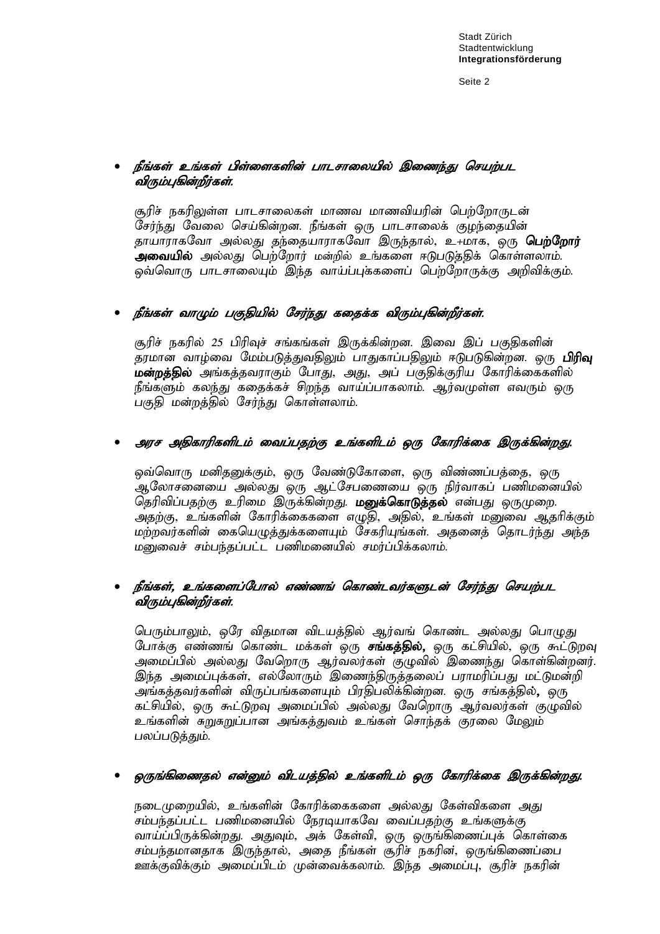Seite 2

#### நீங்கள் உங்கள் பிள்ளைகளின் பாடசாலையில் இணைந்து செயற்பட ்விரும்பகின்றீர்கள்.

சூரிச் நகரிலுள்ள பாடசாலைகள் மாணவ மாணவியரின் பெற்றோருடன் சேர்ந்து வேலை செய்கின்றன. நீங்கள் ஒரு பாடசாலைக் குழந்தையின் தாயாராகவோ அல்லது தந்தையாராகவோ இருந்தால், உ+மாக, ஒரு **பெற்றோர்** .<br>**அவையில்** அல்லது பெற்றோர் மன்றில் உங்களை ஈடுபடுத்திக் கொள்ளலாம். ஒவ்வொரு பாடசாலையும் இந்த வாய்ப்புக்களைப் பெற்றோருக்கு அறிவிக்கும்.

# நீங்கள் வாழும் பகுதியில் சேர்ந்து கதைக்க விரும்புகின்றீர்கள்.

சூரிச் நகரில் 25 பிரிவுச் சங்கங்கள் இருக்கின்றன. இவை இப் பகுதிகளின் .<br>தரமான வாழ்வை மேம்படுத்துவதிலும் பாதுகாப்பதிலும் ஈடுபடுகின்றன. ஒரு **பிரிவு** .<br>**மன்றத்தில்** அங்கத்தவராகும் போது, அது, அப் பகுதிக்குரிய கோரிக்கைகளில் நீங்களும் கலந்து கதைக்கச் சிறந்த வாய்ப்பாகலாம். ஆர்வமுள்ள எவரும் ஒரு பகுதி மன்றத்தில் சேர்ந்து கொள்ளலாம்.

# அரச அதிகாரிகளிடம் வைப்பதற்கு உங்களிடம் ஒரு கோரிக்கை இருக்கின்றது.

ஒவ்வொரு மனிதனுக்கும், ஒரு வேண்டுகோளை, ஒரு விண்ணப்பத்தை, ஒரு ஆலோசனையை அல்லது ஒரு ஆட்சேபணையை ஒரு நிர்வாகப் பணிமனையில் தெரிவிப்பதற்கு உரிமை இருக்கின்றது. **மனுக்கொடுத்தல்** என்பது ஒருமுறை. ு<br>அதற்கு, உங்களின் கோரிக்கைகளை எழுதி, அதில், உங்கள் மனுவை ஆதரிக்கும் மற்றவர்களின் கையெமுக்குக்களையும் சேகரியங்கள். அகனைக் கொடர்ந்து அந்த மனுவைச் சம்பந்தப்பட்ட பணிமனையில் சமர்ப்பிக்கலாம்.

#### நீங்கள், உங்களைப்போல் எண்ணங் கொண்டவர்களுடன் சேர்ந்து செயற்பட ์ விரும்பகின்றீர்கள்.

பெரும்பாலும், ஒரே விதமான விடயத்தில் ஆர்வங் கொண்ட அல்லது பொழுது போக்கு எண்ணங் கொண்ட மக்கள் ஒரு **சங்கத்தில்,** ஒரு கட்சியில், ஒரு கூட்டுறவு அமைப்பில் அல்லது வேறொரு ஆர்வலர்கள் குழுவில் இணைந்து கொள்கின்றனர். இந்த அமைப்புக்கள், எல்லோரும் இணைந்திருத்தலைப் பராமரிப்பது மட்டுமன்றி ு. .<br>அங்கக்கவர்களின் விருப்பங்களையும் பிரதிபலிக்கின்றன. ஒரு சங்கத்தில்**,** ஒரு கட்சியில், ஒரு கூட்டுறவு அமைப்பில் அல்லது வேறொரு ஆர்வலர்கள் குழுவில் உங்களின் சுறுசுறுப்பான அங்கத்துவம் உங்கள் சொந்தக் குரலை மேலும் பலப்படுத்தும்.

# ஒருங்கிணைதல் என்னும் விடயத்தில் உங்களிடம் ஒரு கோரிக்கை இருக்கின்றது.

நடைமுறையில், உங்களின் கோரிக்கைகளை அல்லது கேள்விகளை அது சம்பந்தப்பட்ட பணிமனையில் நேரடியாகவே வைப்பதற்கு உங்களுக்கு வாய்ப்பிருக்கின்றது. அதுவும், அக் கேள்வி, ஒரு ஒருங்கிணைப்புக் கொள்கை சம்பந்தமானதாக இருந்தால், அதை நீங்கள் சூரிச் நகரின், ஒருங்கிணைப்பை ஊக்குவிக்கும் அமைப்பிடம் முன்வைக்கலாம். இந்த அமைப்பு, சூரிச் நகரின்